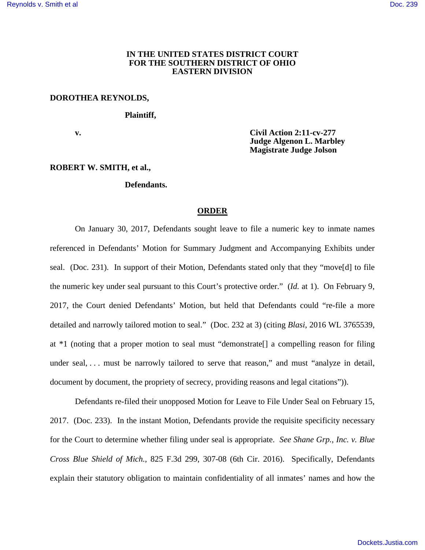## **IN THE UNITED STATES DISTRICT COURT FOR THE SOUTHERN DISTRICT OF OHIO EASTERN DIVISION**

#### **DOROTHEA REYNOLDS,**

 **Plaintiff,**

**v. 12.11-cv-277 v. 12.11-cv-277 v. 12.11-cv-277 Judge Algenon L. Marbley Magistrate Judge Jolson** 

### **ROBERT W. SMITH, et al.,**

#### **Defendants.**

## **ORDER**

On January 30, 2017, Defendants sought leave to file a numeric key to inmate names referenced in Defendants' Motion for Summary Judgment and Accompanying Exhibits under seal. (Doc. 231). In support of their Motion, Defendants stated only that they "move[d] to file the numeric key under seal pursuant to this Court's protective order." (*Id.* at 1). On February 9, 2017, the Court denied Defendants' Motion, but held that Defendants could "re-file a more detailed and narrowly tailored motion to seal." (Doc. 232 at 3) (citing *Blasi*, 2016 WL 3765539, at \*1 (noting that a proper motion to seal must "demonstrate[] a compelling reason for filing under seal, ... must be narrowly tailored to serve that reason," and must "analyze in detail, document by document, the propriety of secrecy, providing reasons and legal citations")).

Defendants re-filed their unopposed Motion for Leave to File Under Seal on February 15, 2017. (Doc. 233). In the instant Motion, Defendants provide the requisite specificity necessary for the Court to determine whether filing under seal is appropriate. *See Shane Grp., Inc. v. Blue Cross Blue Shield of Mich.*, 825 F.3d 299, 307-08 (6th Cir. 2016). Specifically, Defendants explain their statutory obligation to maintain confidentiality of all inmates' names and how the